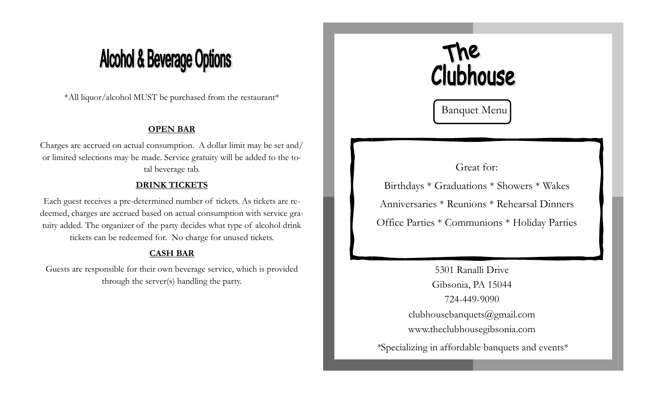## **Alcohol & Beverage Options**

\*All liquor/alcohol MUST be purchased from the restaurant\*

#### **OPEN BAR**

Charges are accrued on actual consumption. A dollar limit may be set and/ or limited selections may be made. Service gratuity will be added to the total beverage tab.

#### **DRINK TICKETS**

Each guest receives a pre-determined number of tickets. As tickets are redeemed, charges are accrued based on actual consumption with service gratuity added. The organizer of the party decides what type of alcohol drink tickets can be redeemed for. No charge for unused tickets.

#### **CASH BAR**

Guests are responsible for their own beverage service, which is provided through the server(s) handling the party.



Banquet Menu

### Great for:

Birthdays \* Graduations \* Showers \* Wakes Anniversaries \* Reunions \* Rehearsal Dinners Office Parties \* Communions \* Holiday Parties

5301 Ranalli Drive Gibsonia, PA 15044 724-449-9090 clubhousebanquets@gmail.com www.theclubhousegibsonia.com *\**Specializing in affordable banquets and events\*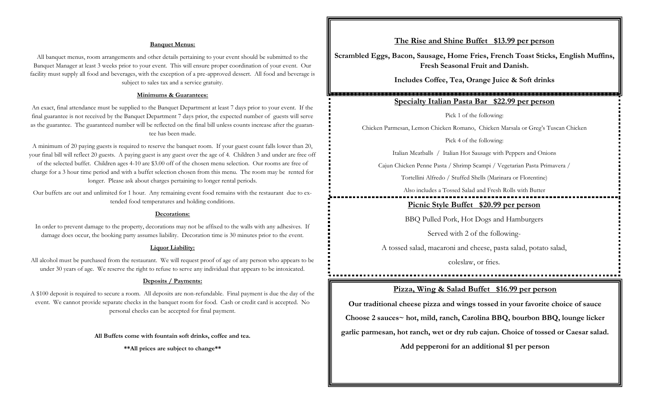#### **Banquet Menus:**

All banquet menus, room arrangements and other details pertaining to your event should be submitted to the Banquet Manager at least 3 weeks prior to your event. This will ensure proper coordination of your event. Our facility must supply all food and beverages, with the exception of a pre-approved dessert. All food and beverage is subject to sales tax and a service gratuity.

#### **Minimums & Guarantees:**

An exact, final attendance must be supplied to the Banquet Department at least 7 days prior to your event. If the final guarantee is not received by the Banquet Department 7 days prior, the expected number of guests will serve as the guarantee. The guaranteed number will be reflected on the final bill unless counts increase after the guarantee has been made.

A minimum of 20 paying guests is required to reserve the banquet room. If your guest count falls lower than 20, your final bill will reflect 20 guests. A paying guest is any guest over the age of 4. Children 3 and under are free off of the selected buffet. Children ages 4-10 are \$3.00 off of the chosen menu selection. Our rooms are free of charge for a 3 hour time period and with a buffet selection chosen from this menu. The room may be rented for longer. Please ask about charges pertaining to longer rental periods.

Our buffets are out and unlimited for 1 hour. Any remaining event food remains with the restaurant due to extended food temperatures and holding conditions.

#### **Decorations:**

In order to prevent damage to the property, decorations may not be affixed to the walls with any adhesives. If damage does occur, the booking party assumes liability. Decoration time is 30 minutes prior to the event.

#### **Liquor Liability:**

All alcohol must be purchased from the restaurant. We will request proof of age of any person who appears to be under 30 years of age. We reserve the right to refuse to serve any individual that appears to be intoxicated.

#### **Deposits / Payments:**

A \$100 deposit is required to secure a room. All deposits are non-refundable. Final payment is due the day of the event. We cannot provide separate checks in the banquet room for food. Cash or credit card is accepted. No personal checks can be accepted for final payment.

**All Buffets come with fountain soft drinks, coffee and tea.**

**\*\*All prices are subject to change\*\***

#### **The Rise and Shine Buffet \$13.99 per person**

**Scrambled Eggs, Bacon, Sausage, Home Fries, French Toast Sticks, English Muffins, Fresh Seasonal Fruit and Danish.**

**Includes Coffee, Tea, Orange Juice & Soft drinks**

#### **Specialty Italian Pasta Bar \$22.99 per person**

Pick 1 of the following:

Chicken Parmesan, Lemon Chicken Romano, Chicken Marsala or Greg's Tuscan Chicken

Pick 4 of the following:

Italian Meatballs / Italian Hot Sausage with Peppers and Onions

Cajun Chicken Penne Pasta / Shrimp Scampi / Vegetarian Pasta Primavera /

Tortellini Alfredo / Stuffed Shells (Marinara or Florentine)

Also includes a Tossed Salad and Fresh Rolls with Butter

**Picnic Style Buffet \$20.99 per person**

BBQ Pulled Pork, Hot Dogs and Hamburgers

Served with 2 of the following-

A tossed salad, macaroni and cheese, pasta salad, potato salad,

coleslaw, or fries.

#### **Pizza, Wing & Salad Buffet \$16.99 per person**

**Our traditional cheese pizza and wings tossed in your favorite choice of sauce Choose 2 sauces~ hot, mild, ranch, Carolina BBQ, bourbon BBQ, lounge licker garlic parmesan, hot ranch, wet or dry rub cajun. Choice of tossed or Caesar salad.**

**Add pepperoni for an additional \$1 per person**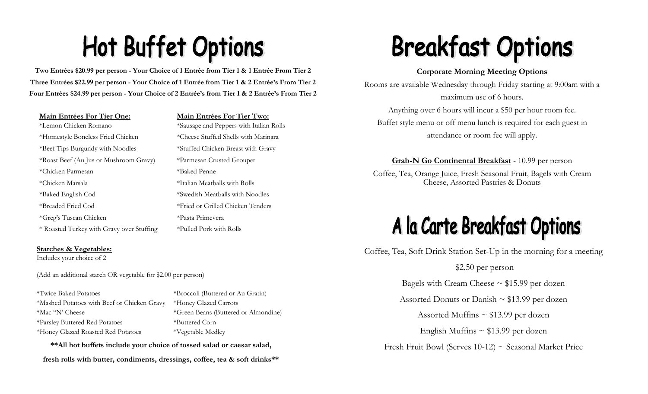# **Hot Buffet Options**

**Two Entrées \$20.99 per person - Your Choice of 1 Entrée from Tier 1 & 1 Entrée From Tier 2 Three Entrées \$22.99 per person - Your Choice of 1 Entrée from Tier 1 & 2 Entrée's From Tier 2 Four Entrées \$24.99 per person - Your Choice of 2 Entrée's from Tier 1 & 2 Entrée's From Tier 2**

#### **Main Entrées For Tier One: Main Entrées For Tier Two:**

\*Lemon Chicken Romano \*Sausage and Peppers with Italian Rolls \*Homestyle Boneless Fried Chicken \*Cheese Stuffed Shells with Marinara \*Beef Tips Burgundy with Noodles \*Stuffed Chicken Breast with Gravy \*Roast Beef (Au Jus or Mushroom Gravy) \*Parmesan Crusted Grouper \*Chicken Parmesan \*Baked Penne \*Chicken Marsala \*Italian Meatballs with Rolls \*Baked English Cod \*Swedish Meatballs with Noodles \*Breaded Fried Cod \*Fried or Grilled Chicken Tenders \*Greg's Tuscan Chicken \*Pasta Primevera \* Roasted Turkey with Gravy over Stuffing \*Pulled Pork with Rolls

#### **Starches & Vegetables:**

Includes your choice of 2

(Add an additional starch OR vegetable for \$2.00 per person)

\*Twice Baked Potatoes \*Broccoli (Buttered or Au Gratin) \*Mashed Potatoes with Beef or Chicken Gravy \*Honey Glazed Carrots \*Mac "N' Cheese \*Green Beans (Buttered or Almondine) \*Parsley Buttered Red Potatoes \*Buttered Corn \*Honey Glazed Roasted Red Potatoes \*Vegetable Medley

**\*\*All hot buffets include your choice of tossed salad or caesar salad,** 

**fresh rolls with butter, condiments, dressings, coffee, tea & soft drinks\*\***

# **Breakfast Options**

#### **Corporate Morning Meeting Options**

Rooms are available Wednesday through Friday starting at 9:00am with a maximum use of 6 hours. Anything over 6 hours will incur a \$50 per hour room fee. Buffet style menu or off menu lunch is required for each guest in attendance or room fee will apply.

**Grab-N Go Continental Breakfast** - 10.99 per person

Coffee, Tea, Orange Juice, Fresh Seasonal Fruit, Bagels with Cream Cheese, Assorted Pastries & Donuts

### A la Carte Breakfast Options

Coffee, Tea, Soft Drink Station Set-Up in the morning for a meeting

\$2.50 per person Bagels with Cream Cheese  $\sim$  \$15.99 per dozen Assorted Donuts or Danish  $\sim$  \$13.99 per dozen Assorted Muffins  $\sim$  \$13.99 per dozen English Muffins  $\sim$  \$13.99 per dozen Fresh Fruit Bowl (Serves 10-12) ~ Seasonal Market Price